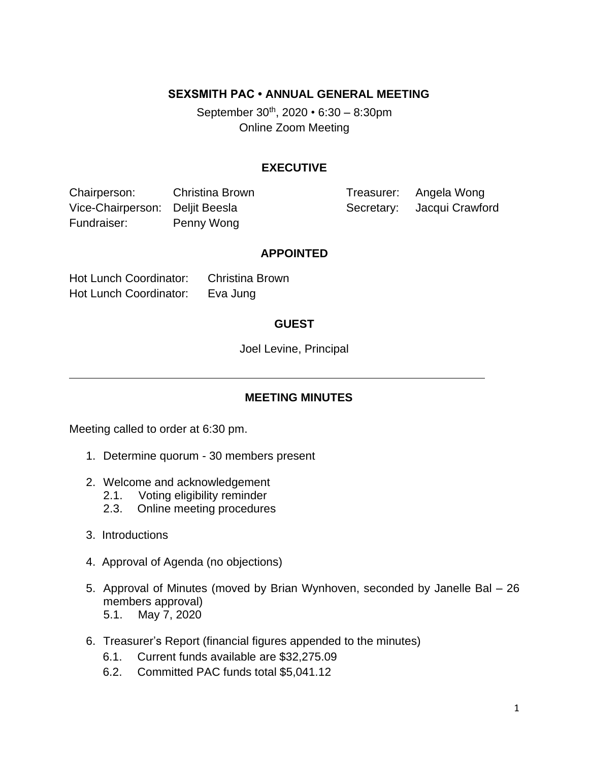### **SEXSMITH PAC • ANNUAL GENERAL MEETING**

September 30th, 2020 *•* 6:30 – 8:30pm Online Zoom Meeting

#### **EXECUTIVE**

Chairperson: Christina Brown Treasurer: Angela Wong Vice-Chairperson: Deljit Beesla Secretary: Jacqui Crawford Fundraiser: Penny Wong

#### **APPOINTED**

Hot Lunch Coordinator: Christina Brown Hot Lunch Coordinator: Eva Jung

### **GUEST**

Joel Levine, Principal

# **MEETING MINUTES**

Meeting called to order at 6:30 pm.

- 1. Determine quorum 30 members present
- 2. Welcome and acknowledgement
	- 2.1. Voting eligibility reminder
	- 2.3. Online meeting procedures
- 3. Introductions
- 4. Approval of Agenda (no objections)
- 5. Approval of Minutes (moved by Brian Wynhoven, seconded by Janelle Bal 26 members approval) 5.1. May 7, 2020
- 6. Treasurer's Report (financial figures appended to the minutes)
	- 6.1. Current funds available are \$32,275.09
	- 6.2. Committed PAC funds total \$5,041.12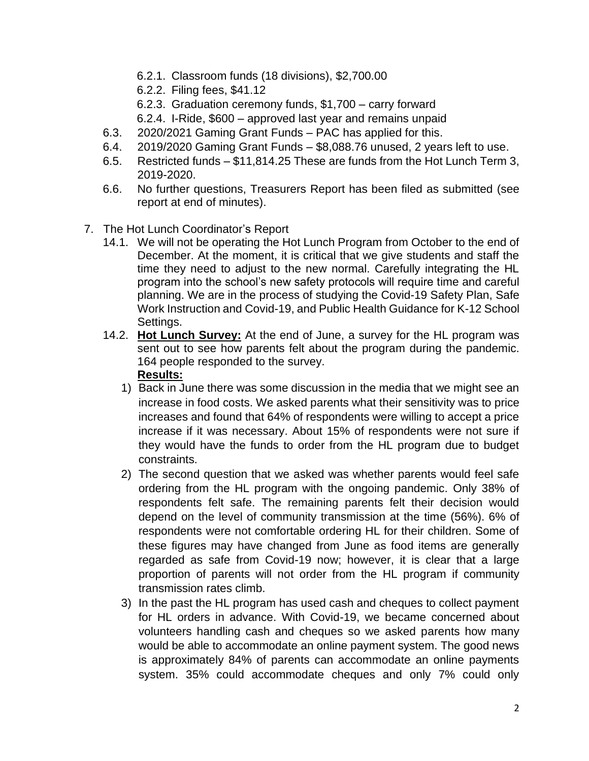- 6.2.1. Classroom funds (18 divisions), \$2,700.00
- 6.2.2. Filing fees, \$41.12
- 6.2.3. Graduation ceremony funds, \$1,700 carry forward
- 6.2.4. I-Ride, \$600 approved last year and remains unpaid
- 6.3. 2020/2021 Gaming Grant Funds PAC has applied for this.
- 6.4. 2019/2020 Gaming Grant Funds \$8,088.76 unused, 2 years left to use.
- 6.5. Restricted funds \$11,814.25 These are funds from the Hot Lunch Term 3, 2019-2020.
- 6.6. No further questions, Treasurers Report has been filed as submitted (see report at end of minutes).
- 7. The Hot Lunch Coordinator's Report
	- 14.1. We will not be operating the Hot Lunch Program from October to the end of December. At the moment, it is critical that we give students and staff the time they need to adjust to the new normal. Carefully integrating the HL program into the school's new safety protocols will require time and careful planning. We are in the process of studying the Covid-19 Safety Plan, Safe Work Instruction and Covid-19, and Public Health Guidance for K-12 School Settings.
	- 14.2. **Hot Lunch Survey:** At the end of June, a survey for the HL program was sent out to see how parents felt about the program during the pandemic. 164 people responded to the survey.

# **Results:**

- 1) Back in June there was some discussion in the media that we might see an increase in food costs. We asked parents what their sensitivity was to price increases and found that 64% of respondents were willing to accept a price increase if it was necessary. About 15% of respondents were not sure if they would have the funds to order from the HL program due to budget constraints.
- 2) The second question that we asked was whether parents would feel safe ordering from the HL program with the ongoing pandemic. Only 38% of respondents felt safe. The remaining parents felt their decision would depend on the level of community transmission at the time (56%). 6% of respondents were not comfortable ordering HL for their children. Some of these figures may have changed from June as food items are generally regarded as safe from Covid-19 now; however, it is clear that a large proportion of parents will not order from the HL program if community transmission rates climb.
- 3) In the past the HL program has used cash and cheques to collect payment for HL orders in advance. With Covid-19, we became concerned about volunteers handling cash and cheques so we asked parents how many would be able to accommodate an online payment system. The good news is approximately 84% of parents can accommodate an online payments system. 35% could accommodate cheques and only 7% could only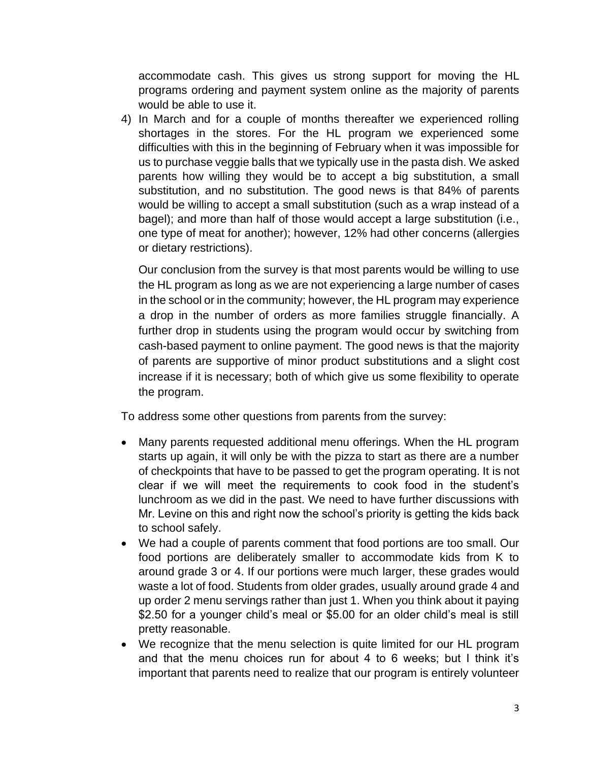accommodate cash. This gives us strong support for moving the HL programs ordering and payment system online as the majority of parents would be able to use it.

4) In March and for a couple of months thereafter we experienced rolling shortages in the stores. For the HL program we experienced some difficulties with this in the beginning of February when it was impossible for us to purchase veggie balls that we typically use in the pasta dish. We asked parents how willing they would be to accept a big substitution, a small substitution, and no substitution. The good news is that 84% of parents would be willing to accept a small substitution (such as a wrap instead of a bagel); and more than half of those would accept a large substitution (i.e., one type of meat for another); however, 12% had other concerns (allergies or dietary restrictions).

Our conclusion from the survey is that most parents would be willing to use the HL program as long as we are not experiencing a large number of cases in the school or in the community; however, the HL program may experience a drop in the number of orders as more families struggle financially. A further drop in students using the program would occur by switching from cash-based payment to online payment. The good news is that the majority of parents are supportive of minor product substitutions and a slight cost increase if it is necessary; both of which give us some flexibility to operate the program.

To address some other questions from parents from the survey:

- Many parents requested additional menu offerings. When the HL program starts up again, it will only be with the pizza to start as there are a number of checkpoints that have to be passed to get the program operating. It is not clear if we will meet the requirements to cook food in the student's lunchroom as we did in the past. We need to have further discussions with Mr. Levine on this and right now the school's priority is getting the kids back to school safely.
- We had a couple of parents comment that food portions are too small. Our food portions are deliberately smaller to accommodate kids from K to around grade 3 or 4. If our portions were much larger, these grades would waste a lot of food. Students from older grades, usually around grade 4 and up order 2 menu servings rather than just 1. When you think about it paying \$2.50 for a younger child's meal or \$5.00 for an older child's meal is still pretty reasonable.
- We recognize that the menu selection is quite limited for our HL program and that the menu choices run for about 4 to 6 weeks; but I think it's important that parents need to realize that our program is entirely volunteer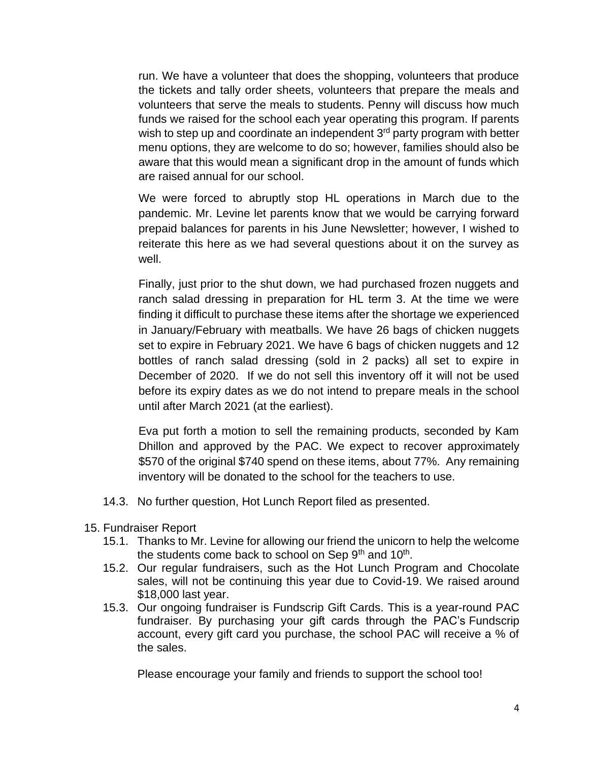run. We have a volunteer that does the shopping, volunteers that produce the tickets and tally order sheets, volunteers that prepare the meals and volunteers that serve the meals to students. Penny will discuss how much funds we raised for the school each year operating this program. If parents wish to step up and coordinate an independent 3<sup>rd</sup> party program with better menu options, they are welcome to do so; however, families should also be aware that this would mean a significant drop in the amount of funds which are raised annual for our school.

We were forced to abruptly stop HL operations in March due to the pandemic. Mr. Levine let parents know that we would be carrying forward prepaid balances for parents in his June Newsletter; however, I wished to reiterate this here as we had several questions about it on the survey as well.

Finally, just prior to the shut down, we had purchased frozen nuggets and ranch salad dressing in preparation for HL term 3. At the time we were finding it difficult to purchase these items after the shortage we experienced in January/February with meatballs. We have 26 bags of chicken nuggets set to expire in February 2021. We have 6 bags of chicken nuggets and 12 bottles of ranch salad dressing (sold in 2 packs) all set to expire in December of 2020. If we do not sell this inventory off it will not be used before its expiry dates as we do not intend to prepare meals in the school until after March 2021 (at the earliest).

Eva put forth a motion to sell the remaining products, seconded by Kam Dhillon and approved by the PAC. We expect to recover approximately \$570 of the original \$740 spend on these items, about 77%. Any remaining inventory will be donated to the school for the teachers to use.

- 14.3. No further question, Hot Lunch Report filed as presented.
- 15. Fundraiser Report
	- 15.1. Thanks to Mr. Levine for allowing our friend the unicorn to help the welcome the students come back to school on Sep 9<sup>th</sup> and 10<sup>th</sup>.
	- 15.2. Our regular fundraisers, such as the Hot Lunch Program and Chocolate sales, will not be continuing this year due to Covid-19. We raised around \$18,000 last year.
	- 15.3. Our ongoing fundraiser is Fundscrip Gift Cards. This is a year-round PAC fundraiser. By purchasing your gift cards through the PAC's Fundscrip account, every gift card you purchase, the school PAC will receive a % of the sales.

Please encourage your family and friends to support the school too!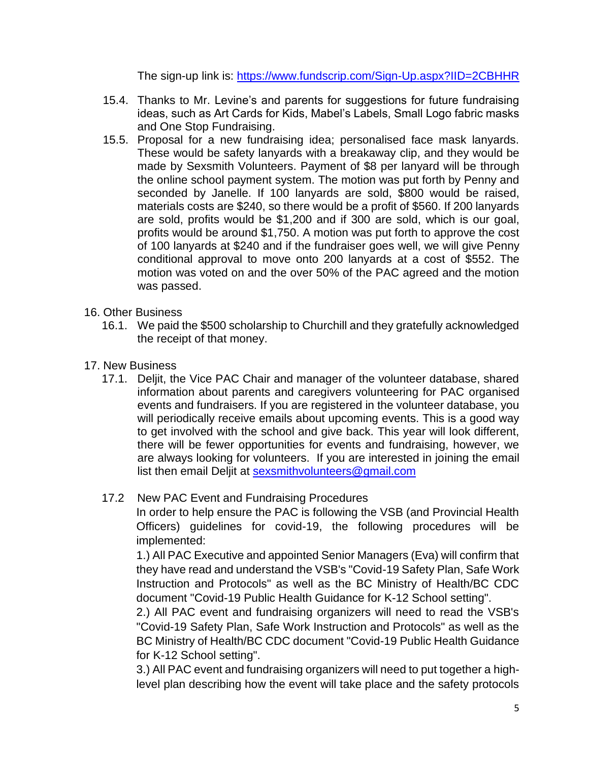The sign-up link is:<https://www.fundscrip.com/Sign-Up.aspx?IID=2CBHHR>

- 15.4. Thanks to Mr. Levine's and parents for suggestions for future fundraising ideas, such as Art Cards for Kids, Mabel's Labels, Small Logo fabric masks and One Stop Fundraising.
- 15.5. Proposal for a new fundraising idea; personalised face mask lanyards. These would be safety lanyards with a breakaway clip, and they would be made by Sexsmith Volunteers. Payment of \$8 per lanyard will be through the online school payment system. The motion was put forth by Penny and seconded by Janelle. If 100 lanyards are sold, \$800 would be raised, materials costs are \$240, so there would be a profit of \$560. If 200 lanyards are sold, profits would be \$1,200 and if 300 are sold, which is our goal, profits would be around \$1,750. A motion was put forth to approve the cost of 100 lanyards at \$240 and if the fundraiser goes well, we will give Penny conditional approval to move onto 200 lanyards at a cost of \$552. The motion was voted on and the over 50% of the PAC agreed and the motion was passed.
- 16. Other Business
	- 16.1. We paid the \$500 scholarship to Churchill and they gratefully acknowledged the receipt of that money.
- 17. New Business
	- 17.1. Deljit, the Vice PAC Chair and manager of the volunteer database, shared information about parents and caregivers volunteering for PAC organised events and fundraisers. If you are registered in the volunteer database, you will periodically receive emails about upcoming events. This is a good way to get involved with the school and give back. This year will look different, there will be fewer opportunities for events and fundraising, however, we are always looking for volunteers. If you are interested in joining the email list then email Deljit at [sexsmithvolunteers@gmail.com](mailto:sexsmithvolunteers@gmail.com)

# 17.2 New PAC Event and Fundraising Procedures

In order to help ensure the PAC is following the VSB (and Provincial Health Officers) guidelines for covid-19, the following procedures will be implemented:

1.) All PAC Executive and appointed Senior Managers (Eva) will confirm that they have read and understand the VSB's "Covid-19 Safety Plan, Safe Work Instruction and Protocols" as well as the BC Ministry of Health/BC CDC document "Covid-19 Public Health Guidance for K-12 School setting".

2.) All PAC event and fundraising organizers will need to read the VSB's "Covid-19 Safety Plan, Safe Work Instruction and Protocols" as well as the BC Ministry of Health/BC CDC document "Covid-19 Public Health Guidance for K-12 School setting".

3.) All PAC event and fundraising organizers will need to put together a highlevel plan describing how the event will take place and the safety protocols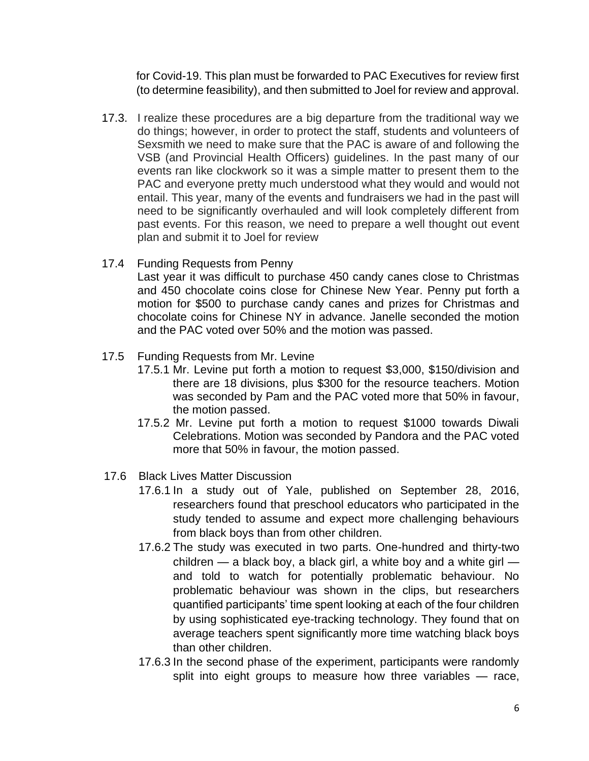for Covid-19. This plan must be forwarded to PAC Executives for review first (to determine feasibility), and then submitted to Joel for review and approval.

- 17.3. I realize these procedures are a big departure from the traditional way we do things; however, in order to protect the staff, students and volunteers of Sexsmith we need to make sure that the PAC is aware of and following the VSB (and Provincial Health Officers) guidelines. In the past many of our events ran like clockwork so it was a simple matter to present them to the PAC and everyone pretty much understood what they would and would not entail. This year, many of the events and fundraisers we had in the past will need to be significantly overhauled and will look completely different from past events. For this reason, we need to prepare a well thought out event plan and submit it to Joel for review
- 17.4 Funding Requests from Penny

Last year it was difficult to purchase 450 candy canes close to Christmas and 450 chocolate coins close for Chinese New Year. Penny put forth a motion for \$500 to purchase candy canes and prizes for Christmas and chocolate coins for Chinese NY in advance. Janelle seconded the motion and the PAC voted over 50% and the motion was passed.

- 17.5 Funding Requests from Mr. Levine
	- 17.5.1 Mr. Levine put forth a motion to request \$3,000, \$150/division and there are 18 divisions, plus \$300 for the resource teachers. Motion was seconded by Pam and the PAC voted more that 50% in favour, the motion passed.
	- 17.5.2 Mr. Levine put forth a motion to request \$1000 towards Diwali Celebrations. Motion was seconded by Pandora and the PAC voted more that 50% in favour, the motion passed.
- 17.6 Black Lives Matter Discussion
	- 17.6.1 In a study out of Yale, published on September 28, 2016, researchers found that preschool educators who participated in the study tended to assume and expect more challenging behaviours from black boys than from other children.
	- 17.6.2 The study was executed in two parts. One-hundred and thirty-two children  $-$  a black boy, a black girl, a white boy and a white girl  $$ and told to watch for potentially problematic behaviour. No problematic behaviour was shown in the clips, but researchers quantified participants' time spent looking at each of the four children by using sophisticated eye-tracking technology. They found that on average teachers spent significantly more time watching black boys than other children.
	- 17.6.3 In the second phase of the experiment, participants were randomly split into eight groups to measure how three variables – race,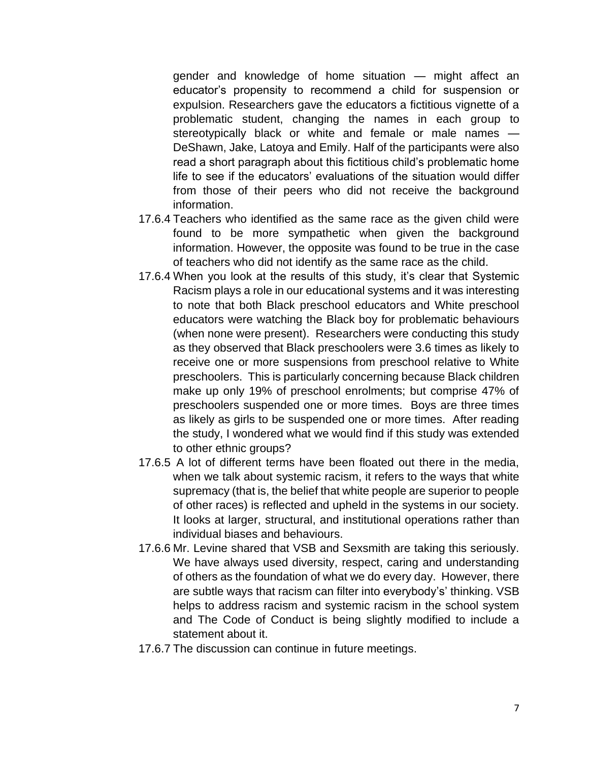gender and knowledge of home situation — might affect an educator's propensity to recommend a child for suspension or expulsion. Researchers gave the educators a fictitious vignette of a problematic student, changing the names in each group to stereotypically black or white and female or male names -DeShawn, Jake, Latoya and Emily. Half of the participants were also read a short paragraph about this fictitious child's problematic home life to see if the educators' evaluations of the situation would differ from those of their peers who did not receive the background information.

- 17.6.4 Teachers who identified as the same race as the given child were found to be more sympathetic when given the background information. However, the opposite was found to be true in the case of teachers who did not identify as the same race as the child.
- 17.6.4 When you look at the results of this study, it's clear that Systemic Racism plays a role in our educational systems and it was interesting to note that both Black preschool educators and White preschool educators were watching the Black boy for problematic behaviours (when none were present). Researchers were conducting this study as they observed that Black preschoolers were 3.6 times as likely to receive one or more suspensions from preschool relative to White preschoolers. This is particularly concerning because Black children make up only 19% of preschool enrolments; but comprise 47% of preschoolers suspended one or more times. Boys are three times as likely as girls to be suspended one or more times. After reading the study, I wondered what we would find if this study was extended to other ethnic groups?
- 17.6.5 A lot of different terms have been floated out there in the media, when we talk about systemic racism, it refers to the ways that white supremacy (that is, the belief that white people are superior to people of other races) is reflected and upheld in the systems in our society. It looks at larger, structural, and institutional operations rather than individual biases and behaviours.
- 17.6.6 Mr. Levine shared that VSB and Sexsmith are taking this seriously. We have always used diversity, respect, caring and understanding of others as the foundation of what we do every day. However, there are subtle ways that racism can filter into everybody's' thinking. VSB helps to address racism and systemic racism in the school system and The Code of Conduct is being slightly modified to include a statement about it.
- 17.6.7 The discussion can continue in future meetings.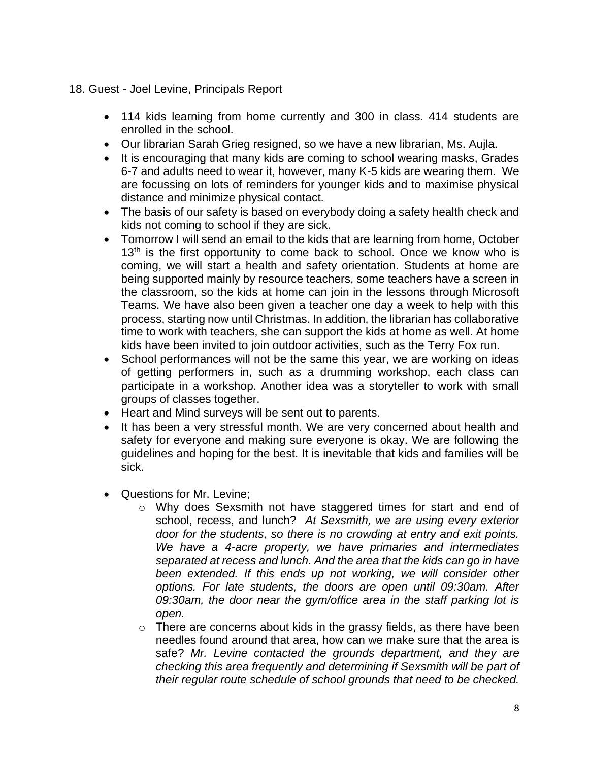- 18. Guest Joel Levine, Principals Report
	- 114 kids learning from home currently and 300 in class. 414 students are enrolled in the school.
	- Our librarian Sarah Grieg resigned, so we have a new librarian, Ms. Aujla.
	- It is encouraging that many kids are coming to school wearing masks, Grades 6-7 and adults need to wear it, however, many K-5 kids are wearing them. We are focussing on lots of reminders for younger kids and to maximise physical distance and minimize physical contact.
	- The basis of our safety is based on everybody doing a safety health check and kids not coming to school if they are sick.
	- Tomorrow I will send an email to the kids that are learning from home, October  $13<sup>th</sup>$  is the first opportunity to come back to school. Once we know who is coming, we will start a health and safety orientation. Students at home are being supported mainly by resource teachers, some teachers have a screen in the classroom, so the kids at home can join in the lessons through Microsoft Teams. We have also been given a teacher one day a week to help with this process, starting now until Christmas. In addition, the librarian has collaborative time to work with teachers, she can support the kids at home as well. At home kids have been invited to join outdoor activities, such as the Terry Fox run.
	- School performances will not be the same this year, we are working on ideas of getting performers in, such as a drumming workshop, each class can participate in a workshop. Another idea was a storyteller to work with small groups of classes together.
	- Heart and Mind surveys will be sent out to parents.
	- It has been a very stressful month. We are very concerned about health and safety for everyone and making sure everyone is okay. We are following the guidelines and hoping for the best. It is inevitable that kids and families will be sick.
	- Questions for Mr. Levine;
		- o Why does Sexsmith not have staggered times for start and end of school, recess, and lunch? *At Sexsmith, we are using every exterior door for the students, so there is no crowding at entry and exit points. We have a 4-acre property, we have primaries and intermediates separated at recess and lunch. And the area that the kids can go in have been extended. If this ends up not working, we will consider other options. For late students, the doors are open until 09:30am. After 09:30am, the door near the gym/office area in the staff parking lot is open.*
		- o There are concerns about kids in the grassy fields, as there have been needles found around that area, how can we make sure that the area is safe? *Mr. Levine contacted the grounds department, and they are checking this area frequently and determining if Sexsmith will be part of their regular route schedule of school grounds that need to be checked.*